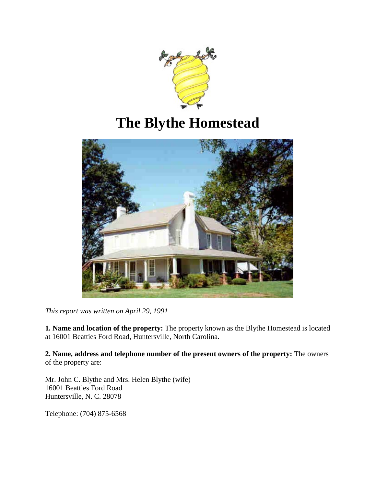

# **The Blythe Homestead**



*This report was written on April 29, 1991*

**1. Name and location of the property:** The property known as the Blythe Homestead is located at 16001 Beatties Ford Road, Huntersville, North Carolina.

**2. Name, address and telephone number of the present owners of the property:** The owners of the property are:

Mr. John C. Blythe and Mrs. Helen Blythe (wife) 16001 Beatties Ford Road Huntersville, N. C. 28078

Telephone: (704) 875-6568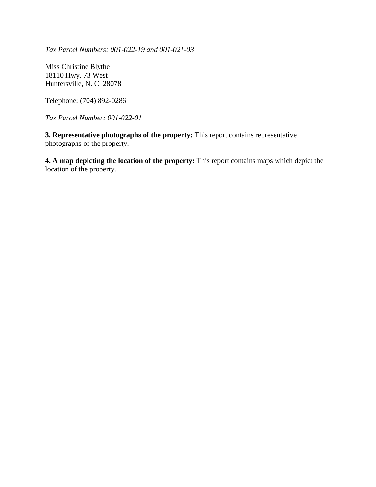*Tax Parcel Numbers: 001-022-19 and 001-021-03*

Miss Christine Blythe 18110 Hwy. 73 West Huntersville, N. C. 28078

Telephone: (704) 892-0286

*Tax Parcel Number: 001-022-01*

**3. Representative photographs of the property:** This report contains representative photographs of the property.

**4. A map depicting the location of the property:** This report contains maps which depict the location of the property.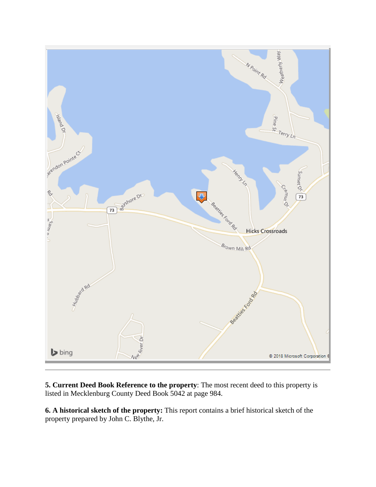

**5. Current Deed Book Reference to the property**: The most recent deed to this property is listed in Mecklenburg County Deed Book 5042 at page 984.

**6. A historical sketch of the property:** This report contains a brief historical sketch of the property prepared by John C. Blythe, Jr.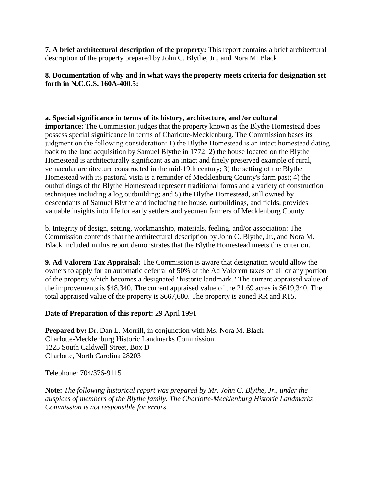**7. A brief architectural description of the property:** This report contains a brief architectural description of the property prepared by John C. Blythe, Jr., and Nora M. Black.

### **8. Documentation of why and in what ways the property meets criteria for designation set forth in N.C.G.S. 160A-400.5:**

### **a. Special significance in terms of its history, architecture, and /or cultural**

**importance:** The Commission judges that the property known as the Blythe Homestead does possess special significance in terms of Charlotte-Mecklenburg. The Commission bases its judgment on the following consideration: 1) the Blythe Homestead is an intact homestead dating back to the land acquisition by Samuel Blythe in 1772; 2) the house located on the Blythe Homestead is architecturally significant as an intact and finely preserved example of rural, vernacular architecture constructed in the mid-19th century; 3) the setting of the Blythe Homestead with its pastoral vista is a reminder of Mecklenburg County's farm past; 4) the outbuildings of the Blythe Homestead represent traditional forms and a variety of construction techniques including a log outbuilding; and 5) the Blythe Homestead, still owned by descendants of Samuel Blythe and including the house, outbuildings, and fields, provides valuable insights into life for early settlers and yeomen farmers of Mecklenburg County.

b. Integrity of design, setting, workmanship, materials, feeling. and/or association: The Commission contends that the architectural description by John C. Blythe, Jr., and Nora M. Black included in this report demonstrates that the Blythe Homestead meets this criterion.

**9. Ad Valorem Tax Appraisal:** The Commission is aware that designation would allow the owners to apply for an automatic deferral of 50% of the Ad Valorem taxes on all or any portion of the property which becomes a designated "historic landmark." The current appraised value of the improvements is \$48,340. The current appraised value of the 21.69 acres is \$619,340. The total appraised value of the property is \$667,680. The property is zoned RR and R15.

#### **Date of Preparation of this report:** 29 April 1991

**Prepared by:** Dr. Dan L. Morrill, in conjunction with Ms. Nora M. Black Charlotte-Mecklenburg Historic Landmarks Commission 1225 South Caldwell Street, Box D Charlotte, North Carolina 28203

Telephone: 704/376-9115

**Note:** *The following historical report was prepared by Mr. John C. Blythe, Jr., under the auspices of members of the Blythe family. The Charlotte-Mecklenburg Historic Landmarks Commission is not responsible for errors*.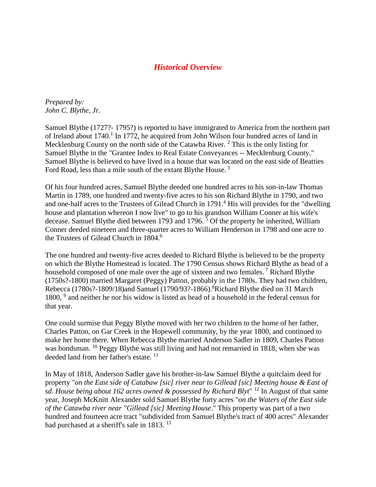### *Historical Overview*

*Prepared by: John C. Blythe, Jr.*

Samuel Blythe (1727?- 1795?) is reported to have immigrated to America from the northern part of Ireland about  $1740<sup>1</sup>$  In 1772, he acquired from John Wilson four hundred acres of land in Mecklenburg County on the north side of the Catawba River.<sup>2</sup> This is the only listing for Samuel Blythe in the "Grantee Index to Real Estate Conveyances -- Mecklenburg County." Samuel Blythe is believed to have lived in a house that was located on the east side of Beatties Ford Road, less than a mile south of the extant Blythe House.<sup>3</sup>

Of his four hundred acres, Samuel Blythe deeded one hundred acres to his son-in-law Thomas Martin in 1789, one hundred and twenty-five acres to his son Richard Blythe in 1790, and two and one-half acres to the Trustees of Gilead Church in 1791.<sup>4</sup> His will provides for the "dwelling" house and plantation whereon I now live" to go to his grandson William Conner at his wife's decease. Samuel Blythe died between 1793 and 1796. <sup>5</sup> Of the property he inherited, William Conner deeded nineteen and three-quarter acres to William Henderson in 1798 and one acre to the Trustees of Gilead Church in 1804.<sup>6</sup>

The one hundred and twenty-five acres deeded to Richard Blythe is believed to be the property on which the Blythe Homestead is located. The 1790 Census shows Richard Blythe as head of a household composed of one male over the age of sixteen and two females.<sup>7</sup> Richard Blythe (1750s?-1800) married Margaret (Peggy) Patton, probably in the 1780s. They had two children, Rebecca (1780s?-1809/18)and Samuel (1790/93?-1866).<sup>8</sup>Richard Blythe died on 31 March 1800, <sup>9</sup> and neither he nor his widow is listed as head of a household in the federal census for that year.

One could surmise that Peggy Blythe moved with her two children to the home of her father, Charles Patton, on Gar Creek in the Hopewell community, by the year 1800, and continued to make her home there. When Rebecca Blythe married Anderson Sadler in 1809, Charles Patton was bondsman. <sup>10</sup> Peggy Blythe was still living and had not remarried in 1818, when she was deeded land from her father's estate.<sup>11</sup>

In May of 1818, Anderson Sadler gave his brother-in-law Samuel Blythe a quitclaim deed for property "*on the East side of Catabaw [sic] river near to Gillead [sic] Meeting house & East of sd. House being about 162 acres owned & possessed by Richard Blyt*" <sup>12</sup> In August of that same year, Joseph McKnitt Alexander sold Samuel Blythe forty acres "*on the Waters of the East side of the Catawba river near "Gillead [sic] Meeting House*." This property was part of a two hundred and fourteen acre tract "subdivided from Samuel Blythe's tract of 400 acres" Alexander had purchased at a sheriff's sale in 1813. <sup>13</sup>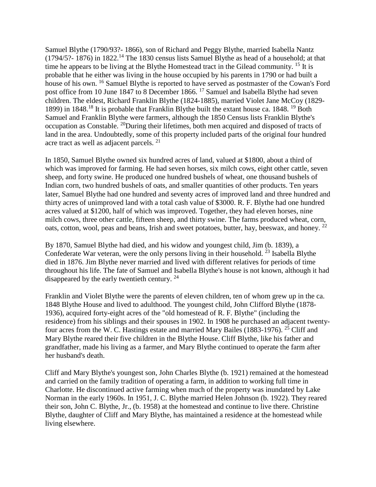Samuel Blythe (1790/93?- 1866), son of Richard and Peggy Blythe, married Isabella Nantz  $(1794/5$ ?- 1876) in 1822.<sup>14</sup> The 1830 census lists Samuel Blythe as head of a household; at that time he appears to be living at the Blythe Homestead tract in the Gilead community. <sup>15</sup> It is probable that he either was living in the house occupied by his parents in 1790 or had built a house of his own. <sup>16</sup> Samuel Blythe is reported to have served as postmaster of the Cowan's Ford post office from 10 June 1847 to 8 December 1866. <sup>17</sup> Samuel and Isabella Blythe had seven children. The eldest, Richard Franklin Blythe (1824-1885), married Violet Jane McCoy (1829- 1899) in 1848.<sup>18</sup> It is probable that Franklin Blythe built the extant house ca. 1848.<sup>19</sup> Both Samuel and Franklin Blythe were farmers, although the 1850 Census lists Franklin Blythe's occupation as Constable. <sup>20</sup>During their lifetimes, both men acquired and disposed of tracts of land in the area. Undoubtedly, some of this property included parts of the original four hundred acre tract as well as adjacent parcels. <sup>21</sup>

In 1850, Samuel Blythe owned six hundred acres of land, valued at \$1800, about a third of which was improved for farming. He had seven horses, six milch cows, eight other cattle, seven sheep, and forty swine. He produced one hundred bushels of wheat, one thousand bushels of Indian corn, two hundred bushels of oats, and smaller quantities of other products. Ten years later, Samuel Blythe had one hundred and seventy acres of improved land and three hundred and thirty acres of unimproved land with a total cash value of \$3000. R. F. Blythe had one hundred acres valued at \$1200, half of which was improved. Together, they had eleven horses, nine milch cows, three other cattle, fifteen sheep, and thirty swine. The farms produced wheat, corn, oats, cotton, wool, peas and beans, Irish and sweet potatoes, butter, hay, beeswax, and honey. <sup>22</sup>

By 1870, Samuel Blythe had died, and his widow and youngest child, Jim (b. 1839), a Confederate War veteran, were the only persons living in their household.<sup>23</sup> Isabella Blythe died in 1876. Jim Blythe never married and lived with different relatives for periods of time throughout his life. The fate of Samuel and Isabella Blythe's house is not known, although it had disappeared by the early twentieth century.  $24$ 

Franklin and Violet Blythe were the parents of eleven children, ten of whom grew up in the ca. 1848 Blythe House and lived to adulthood. The youngest child, John Clifford Blythe (1878- 1936), acquired forty-eight acres of the "old homestead of R. F. Blythe" (including the residence) from his siblings and their spouses in 1902. In 1908 he purchased an adjacent twentyfour acres from the W. C. Hastings estate and married Mary Bailes (1883-1976). <sup>25</sup> Cliff and Mary Blythe reared their five children in the Blythe House. Cliff Blythe, like his father and grandfather, made his living as a farmer, and Mary Blythe continued to operate the farm after her husband's death.

Cliff and Mary Blythe's youngest son, John Charles Blythe (b. 1921) remained at the homestead and carried on the family tradition of operating a farm, in addition to working full time in Charlotte. He discontinued active farming when much of the property was inundated by Lake Norman in the early 1960s. In 1951, J. C. Blythe married Helen Johnson (b. 1922). They reared their son, John C. Blythe, Jr., (b. 1958) at the homestead and continue to live there. Christine Blythe, daughter of Cliff and Mary Blythe, has maintained a residence at the homestead while living elsewhere.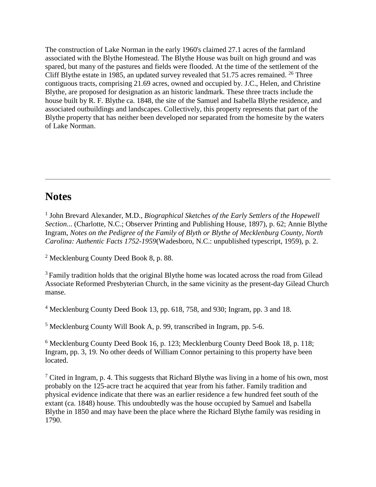The construction of Lake Norman in the early 1960's claimed 27.1 acres of the farmland associated with the Blythe Homestead. The Blythe House was built on high ground and was spared, but many of the pastures and fields were flooded. At the time of the settlement of the Cliff Blythe estate in 1985, an updated survey revealed that  $51.75$  acres remained. <sup>26</sup> Three contiguous tracts, comprising 21.69 acres, owned and occupied by. J.C., Helen, and Christine Blythe, are proposed for designation as an historic landmark. These three tracts include the house built by R. F. Blythe ca. 1848, the site of the Samuel and Isabella Blythe residence, and associated outbuildings and landscapes. Collectively, this property represents that part of the Blythe property that has neither been developed nor separated from the homesite by the waters of Lake Norman.

# **Notes**

<sup>1</sup> John Brevard Alexander, M.D., *Biographical Sketches of the Early Settlers of the Hopewell Section*... (Charlotte, N.C.; Observer Printing and Publishing House, 1897), p. 62; Annie Blythe Ingram, *Notes on the Pedigree of the Family of Blyth or Blythe of Mecklenburg County, North Carolina: Authentic Facts 1752-1959*(Wadesboro, N.C.: unpublished typescript, 1959), p. 2.

<sup>2</sup> Mecklenburg County Deed Book 8, p. 88.

 $3$  Family tradition holds that the original Blythe home was located across the road from Gilead Associate Reformed Presbyterian Church, in the same vicinity as the present-day Gilead Church manse.

<sup>4</sup> Mecklenburg County Deed Book 13, pp. 618, 758, and 930; Ingram, pp. 3 and 18.

<sup>5</sup> Mecklenburg County Will Book A, p. 99, transcribed in Ingram, pp. 5-6.

<sup>6</sup> Mecklenburg County Deed Book 16, p. 123; Mecklenburg County Deed Book 18, p. 118; Ingram, pp. 3, 19. No other deeds of William Connor pertaining to this property have been located.

 $<sup>7</sup>$  Cited in Ingram, p. 4. This suggests that Richard Blythe was living in a home of his own, most</sup> probably on the 125-acre tract he acquired that year from his father. Family tradition and physical evidence indicate that there was an earlier residence a few hundred feet south of the extant (ca. 1848) house. This undoubtedly was the house occupied by Samuel and Isabella Blythe in 1850 and may have been the place where the Richard Blythe family was residing in 1790.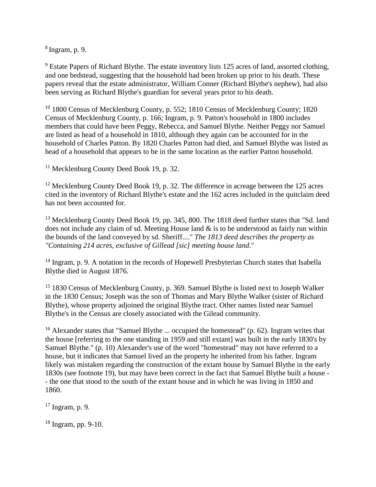$8 \text{ Ingram}$ , p. 9.

 $9$  Estate Papers of Richard Blythe. The estate inventory lists 125 acres of land, assorted clothing, and one bedstead, suggesting that the household had been broken up prior to his death. These papers reveal that the estate administrator, William Conner (Richard Blythe's nephew), had also been serving as Richard Blythe's guardian for several years prior to his death.

<sup>10</sup> 1800 Census of Mecklenburg County, p. 552; 1810 Census of Mecklenburg County; 1820 Census of Mecklenburg County, p. 166; Ingram, p. 9. Patton's household in 1800 includes members that could have been Peggy, Rebecca, and Samuel Blythe. Neither Peggy nor Samuel are listed as head of a household in 1810, although they again can be accounted for in the household of Charles Patton. By 1820 Charles Patton had died, and Samuel Blythe was listed as head of a household that appears to be in the same location as the earlier Patton household.

<sup>11</sup> Mecklenburg County Deed Book 19, p. 32.

 $12$  Mecklenburg County Deed Book 19, p. 32. The difference in acreage between the 125 acres cited in the inventory of Richard Blythe's estate and the 162 acres included in the quitclaim deed has not been accounted for.

<sup>13</sup> Mecklenburg County Deed Book 19, pp. 345, 800. The 1818 deed further states that "Sd. land does not include any claim of sd. Meeting House land  $\&$  is to be understood as fairly run within the bounds of the land conveyed by sd. Sheriff...." *The 1813 deed describes the property as "Containing 214 acres, exclusive of Gillead [sic] meeting house land*."

<sup>14</sup> Ingram, p. 9. A notation in the records of Hopewell Presbyterian Church states that Isabella Blythe died in August 1876.

<sup>15</sup> 1830 Census of Mecklenburg County, p. 369. Samuel Blythe is listed next to Joseph Walker in the 1830 Census; Joseph was the son of Thomas and Mary Blythe Walker (sister of Richard Blythe), whose property adjoined the original Blythe tract. Other names listed near Samuel Blythe's in the Census are closely associated with the Gilead community.

<sup>16</sup> AIexander states that "Samuel Blythe ... occupied the homestead" (p. 62). Ingram writes that the house [referring to the one standing in 1959 and still extant] was built in the early 1830's by Samuel Blythe." (p. 10) Alexander's use of the word "homestead" may not have referred to a house, but it indicates that Samuel lived an the property he inherited from his father. Ingram likely was mistaken regarding the construction of the extant house by Samuel Blythe in the early 1830s (see footnote 19), but may have been correct in the fact that Samuel Blythe built a house - - the one that stood to the south of the extant house and in which he was living in 1850 and 1860.

 $17$  Ingram, p. 9.

 $18$  Ingram, pp. 9-10.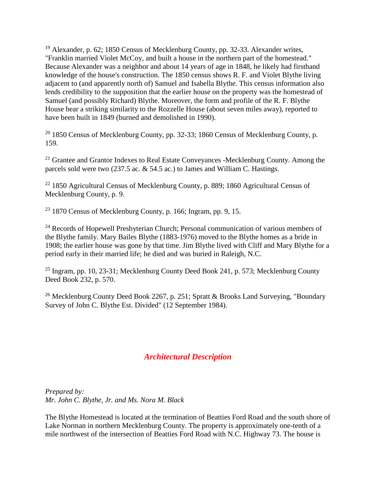<sup>19</sup> Alexander, p. 62; 1850 Census of Mecklenburg County, pp. 32-33. Alexander writes, "Franklin married Violet McCoy, and built a house in the northern part of the homestead." Because Alexander was a neighbor and about 14 years of age in 1848, he likely had firsthand knowledge of the house's construction. The 1850 census shows R. F. and Violet Blythe living adjacent to (and apparently north of) Samuel and Isabella Blythe. This census information also lends credibility to the supposition that the earlier house on the property was the homestead of Samuel (and possibly Richard) Blythe. Moreover, the form and profile of the R. F. Blythe House bear a striking similarity to the Rozzelle House (about seven miles away), reported to have been built in 1849 (burned and demolished in 1990).

 $20$  1850 Census of Mecklenburg County, pp. 32-33; 1860 Census of Mecklenburg County, p. 159.

<sup>21</sup> Grantee and Grantor Indexes to Real Estate Conveyances -Mecklenburg County. Among the parcels sold were two (237.5 ac. & 54.5 ac.) to James and William C. Hastings.

<sup>22</sup> 1850 Agricultural Census of Mecklenburg County, p. 889; 1860 Agricultural Census of Mecklenburg County, p. 9.

 $23$  1870 Census of Mecklenburg County, p. 166; Ingram, pp. 9, 15.

<sup>24</sup> Records of Hopewell Presbyterian Church; Personal communication of various members of the Blythe family. Mary Bailes Blythe (1883-1976) moved to the Blythe homes as a bride in 1908; the earlier house was gone by that time. Jim Blythe lived with Cliff and Mary Blythe for a period early in their married life; he died and was buried in Raleigh, N.C.

<sup>25</sup> Ingram, pp. 10, 23-31; Mecklenburg County Deed Book 241, p. 573; Mecklenburg County Deed Book 232, p. 570.

<sup>26</sup> Mecklenburg County Deed Book 2267, p. 251; Spratt & Brooks Land Surveying, "Boundary Survey of John C. Blythe Est. Divided" (12 September 1984).

## *Architectural Description*

*Prepared by: Mr. John C. Blythe, Jr. and Ms. Nora M. Black*

The Blythe Homestead is located at the termination of Beatties Ford Road and the south shore of Lake Norman in northern Mecklenburg County. The property is approximately one-tenth of a mile northwest of the intersection of Beatties Ford Road with N.C. Highway 73. The house is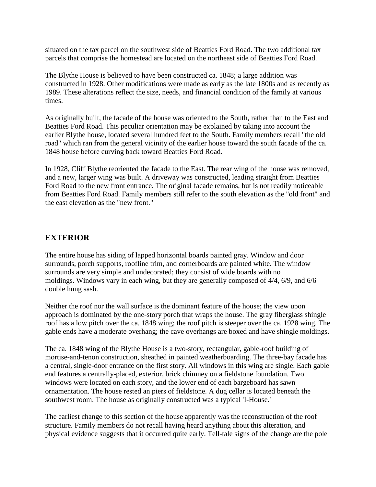situated on the tax parcel on the southwest side of Beatties Ford Road. The two additional tax parcels that comprise the homestead are located on the northeast side of Beatties Ford Road.

The Blythe House is believed to have been constructed ca. 1848; a large addition was constructed in 1928. Other modifications were made as early as the late 1800s and as recently as 1989. These alterations reflect the size, needs, and financial condition of the family at various times.

As originally built, the facade of the house was oriented to the South, rather than to the East and Beatties Ford Road. This peculiar orientation may be explained by taking into account the earlier Blythe house, located several hundred feet to the South. Family members recall "the old road" which ran from the general vicinity of the earlier house toward the south facade of the ca. 1848 house before curving back toward Beatties Ford Road.

In 1928, Cliff Blythe reoriented the facade to the East. The rear wing of the house was removed, and a new, larger wing was built. A driveway was constructed, leading straight from Beatties Ford Road to the new front entrance. The original facade remains, but is not readily noticeable from Beatties Ford Road. Family members still refer to the south elevation as the "old front" and the east elevation as the "new front."

### **EXTERIOR**

The entire house has siding of lapped horizontal boards painted gray. Window and door surrounds, porch supports, roofline trim, and cornerboards are painted white. The window surrounds are very simple and undecorated; they consist of wide boards with no moldings. Windows vary in each wing, but they are generally composed of 4/4, 6/9, and 6/6 double hung sash.

Neither the roof nor the wall surface is the dominant feature of the house; the view upon approach is dominated by the one-story porch that wraps the house. The gray fiberglass shingle roof has a low pitch over the ca. 1848 wing; the roof pitch is steeper over the ca. 1928 wing. The gable ends have a moderate overhang; the cave overhangs are boxed and have shingle moldings.

The ca. 1848 wing of the Blythe House is a two-story, rectangular, gable-roof building of mortise-and-tenon construction, sheathed in painted weatherboarding. The three-bay facade has a central, single-door entrance on the first story. All windows in this wing are single. Each gable end features a centrally-placed, exterior, brick chimney on a fieldstone foundation. Two windows were located on each story, and the lower end of each bargeboard has sawn ornamentation. The house rested an piers of fieldstone. A dug cellar is located beneath the southwest room. The house as originally constructed was a typical 'I-House.'

The earliest change to this section of the house apparently was the reconstruction of the roof structure. Family members do not recall having heard anything about this alteration, and physical evidence suggests that it occurred quite early. Tell-tale signs of the change are the pole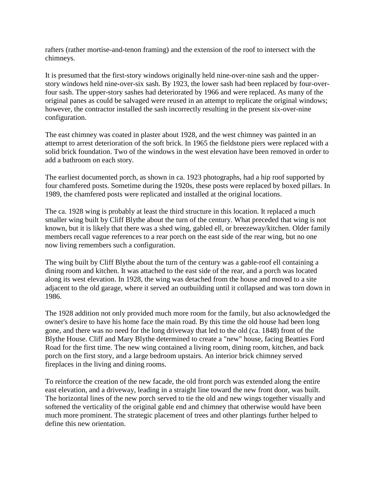rafters (rather mortise-and-tenon framing) and the extension of the roof to intersect with the chimneys.

It is presumed that the first-story windows originally held nine-over-nine sash and the upperstory windows held nine-over-six sash. By 1923, the lower sash had been replaced by four-overfour sash. The upper-story sashes had deteriorated by 1966 and were replaced. As many of the original panes as could be salvaged were reused in an attempt to replicate the original windows; however, the contractor installed the sash incorrectly resulting in the present six-over-nine configuration.

The east chimney was coated in plaster about 1928, and the west chimney was painted in an attempt to arrest deterioration of the soft brick. In 1965 the fieldstone piers were replaced with a solid brick foundation. Two of the windows in the west elevation have been removed in order to add a bathroom on each story.

The earliest documented porch, as shown in ca. 1923 photographs, had a hip roof supported by four chamfered posts. Sometime during the 1920s, these posts were replaced by boxed pillars. In 1989, the chamfered posts were replicated and installed at the original locations.

The ca. 1928 wing is probably at least the third structure in this location. It replaced a much smaller wing built by Cliff Blythe about the turn of the century. What preceded that wing is not known, but it is likely that there was a shed wing, gabled ell, or breezeway/kitchen. Older family members recall vague references to a rear porch on the east side of the rear wing, but no one now living remembers such a configuration.

The wing built by Cliff Blythe about the turn of the century was a gable-roof ell containing a dining room and kitchen. It was attached to the east side of the rear, and a porch was located along its west elevation. In 1928, the wing was detached from the house and moved to a site adjacent to the old garage, where it served an outbuilding until it collapsed and was torn down in 1986.

The 1928 addition not only provided much more room for the family, but also acknowledged the owner's desire to have his home face the main road. By this time the old house had been long gone, and there was no need for the long driveway that led to the old (ca. 1848) front of the Blythe House. Cliff and Mary Blythe determined to create a "new" house, facing Beatties Ford Road for the first time. The new wing contained a living room, dining room, kitchen, and back porch on the first story, and a large bedroom upstairs. An interior brick chimney served fireplaces in the living and dining rooms.

To reinforce the creation of the new facade, the old front porch was extended along the entire east elevation, and a driveway, leading in a straight line toward the new front door, was built. The horizontal lines of the new porch served to tie the old and new wings together visually and softened the verticality of the original gable end and chimney that otherwise would have been much more prominent. The strategic placement of trees and other plantings further helped to define this new orientation.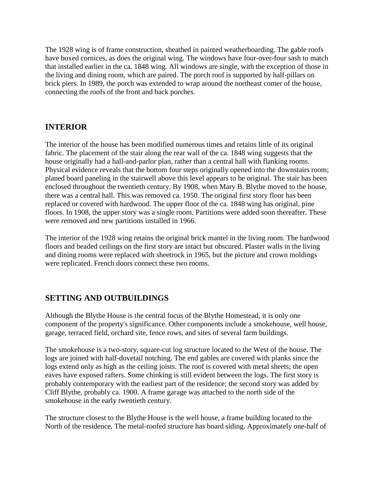The 1928 wing is of frame construction, sheathed in painted weatherboarding. The gable roofs have boxed cornices, as does the original wing. The windows have four-over-four sash to match that installed earlier in the ca. 1848 wing. All windows are single, with the exception of those in the living and dining room, which are paired. The porch roof is supported by half-pillars on brick piers. In 1989, the porch was extended to wrap around the northeast comer of the house, connecting the roofs of the front and back porches.

### **INTERIOR**

The interior of the house has been modified numerous times and retains little of its original fabric. The placement of the stair along the rear wall of the ca. 1848 wing suggests that the house originally had a hall-and-parlor plan, rather than a central hall with flanking rooms. Physical evidence reveals that the bottom four steps originally opened into the downstairs room; planed board paneling in the stairwell above this level appears to be original. The stair has been enclosed throughout the twentieth century. By 1908, when Mary B. Blythe moved to the house, there was a central hall. This was removed ca. 1950. The original first story floor has been replaced or covered with hardwood. The upper floor of the ca. 1848 wing has original, pine floors. In 1908, the upper story was a single room. Partitions were added soon thereafter. These were removed and new partitions installed in 1966.

The interior of the 1928 wing retains the original brick mantel in the living room. The hardwood floors and beaded ceilings on the first story are intact but obscured. Plaster walls in the living and dining rooms were replaced with sheetrock in 1965, but the picture and crown moldings were replicated. French doors connect these two rooms.

### **SETTING AND OUTBUILDINGS**

Although the Blythe House is the central focus of the Blythe Homestead, it is only one component of the property's significance. Other components include a smokehouse, well house, garage, terraced field, orchard site, fence rows, and sites of several farm buildings.

The smokehouse is a two-story, square-cut log structure located to the West of the house. The logs are joined with half-dovetail notching. The end gables are covered with planks since the logs extend only as high as the ceiling joists. The roof is covered with metal sheets; the open eaves have exposed rafters. Some chinking is still evident between the logs. The first story is probably contemporary with the earliest part of the residence; the second story was added by Cliff Blythe, probably ca. 1900. A frame garage was attached to the north side of the smokehouse in the early twentieth century.

The structure closest to the Blythe House is the well house, a frame building located to the North of the residence. The metal-roofed structure has board siding. Approximately one-half of